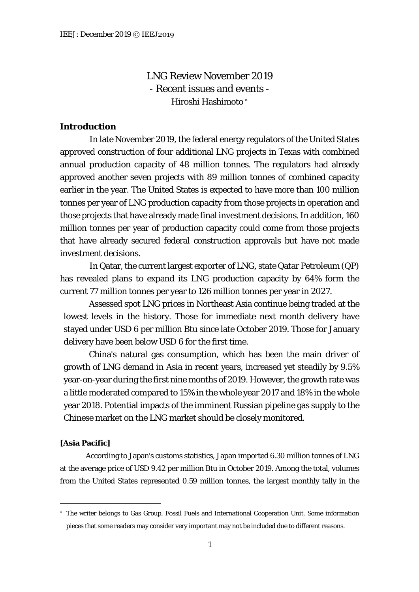LNG Review November 2019 - Recent issues and events - Hiroshi Hashimoto [∗](#page-0-0)

# **Introduction**

In late November 2019, the federal energy regulators of the United States approved construction of four additional LNG projects in Texas with combined annual production capacity of 48 million tonnes. The regulators had already approved another seven projects with 89 million tonnes of combined capacity earlier in the year. The United States is expected to have more than 100 million tonnes per year of LNG production capacity from those projects in operation and those projects that have already made final investment decisions. In addition, 160 million tonnes per year of production capacity could come from those projects that have already secured federal construction approvals but have not made investment decisions.

In Qatar, the current largest exporter of LNG, state Qatar Petroleum (QP) has revealed plans to expand its LNG production capacity by 64% form the current 77 million tonnes per year to 126 million tonnes per year in 2027.

Assessed spot LNG prices in Northeast Asia continue being traded at the lowest levels in the history. Those for immediate next month delivery have stayed under USD 6 per million Btu since late October 2019. Those for January delivery have been below USD 6 for the first time.

China's natural gas consumption, which has been the main driver of growth of LNG demand in Asia in recent years, increased yet steadily by 9.5% year-on-year during the first nine months of 2019. However, the growth rate was a little moderated compared to 15% in the whole year 2017 and 18% in the whole year 2018. Potential impacts of the imminent Russian pipeline gas supply to the Chinese market on the LNG market should be closely monitored.

## **[Asia Pacific]**

According to Japan's customs statistics, Japan imported 6.30 million tonnes of LNG at the average price of USD 9.42 per million Btu in October 2019. Among the total, volumes from the United States represented 0.59 million tonnes, the largest monthly tally in the

<span id="page-0-0"></span><sup>∗</sup> The writer belongs to Gas Group, Fossil Fuels and International Cooperation Unit. Some information pieces that some readers may consider very important may not be included due to different reasons.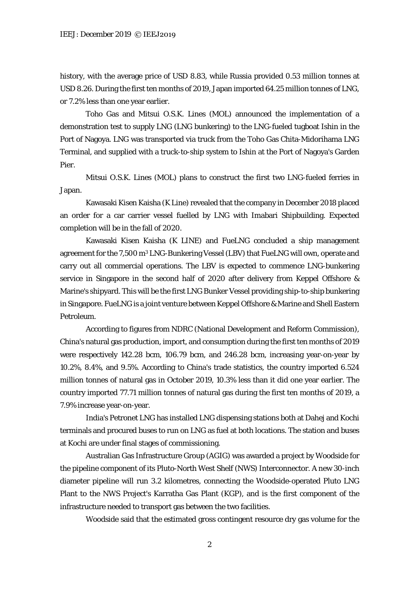history, with the average price of USD 8.83, while Russia provided 0.53 million tonnes at USD 8.26. During the first ten months of 2019, Japan imported 64.25 million tonnes of LNG, or 7.2% less than one year earlier.

Toho Gas and Mitsui O.S.K. Lines (MOL) announced the implementation of a demonstration test to supply LNG (LNG bunkering) to the LNG-fueled tugboat Ishin in the Port of Nagoya. LNG was transported via truck from the Toho Gas Chita-Midorihama LNG Terminal, and supplied with a truck-to-ship system to Ishin at the Port of Nagoya's Garden Pier.

Mitsui O.S.K. Lines (MOL) plans to construct the first two LNG-fueled ferries in Japan.

Kawasaki Kisen Kaisha (K Line) revealed that the company in December 2018 placed an order for a car carrier vessel fuelled by LNG with Imabari Shipbuilding. Expected completion will be in the fall of 2020.

Kawasaki Kisen Kaisha (K LINE) and FueLNG concluded a ship management agreement for the 7,500 m3 LNG-Bunkering Vessel (LBV) that FueLNG will own, operate and carry out all commercial operations. The LBV is expected to commence LNG-bunkering service in Singapore in the second half of 2020 after delivery from Keppel Offshore & Marine's shipyard. This will be the first LNG Bunker Vessel providing ship-to-ship bunkering in Singapore. FueLNG is a joint venture between Keppel Offshore & Marine and Shell Eastern Petroleum.

According to figures from NDRC (National Development and Reform Commission), China's natural gas production, import, and consumption during the first ten months of 2019 were respectively 142.28 bcm, 106.79 bcm, and 246.28 bcm, increasing year-on-year by 10.2%, 8.4%, and 9.5%. According to China's trade statistics, the country imported 6.524 million tonnes of natural gas in October 2019, 10.3% less than it did one year earlier. The country imported 77.71 million tonnes of natural gas during the first ten months of 2019, a 7.9% increase year-on-year.

India's Petronet LNG has installed LNG dispensing stations both at Dahej and Kochi terminals and procured buses to run on LNG as fuel at both locations. The station and buses at Kochi are under final stages of commissioning.

Australian Gas Infrastructure Group (AGIG) was awarded a project by Woodside for the pipeline component of its Pluto-North West Shelf (NWS) Interconnector. A new 30-inch diameter pipeline will run 3.2 kilometres, connecting the Woodside-operated Pluto LNG Plant to the NWS Project's Karratha Gas Plant (KGP), and is the first component of the infrastructure needed to transport gas between the two facilities.

Woodside said that the estimated gross contingent resource dry gas volume for the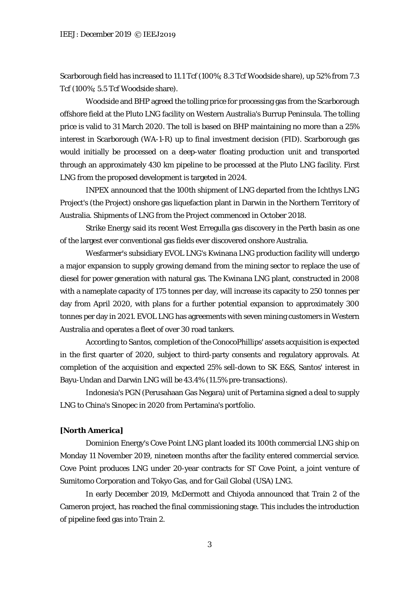Scarborough field has increased to 11.1 Tcf (100%; 8.3 Tcf Woodside share), up 52% from 7.3 Tcf (100%; 5.5 Tcf Woodside share).

Woodside and BHP agreed the tolling price for processing gas from the Scarborough offshore field at the Pluto LNG facility on Western Australia's Burrup Peninsula. The tolling price is valid to 31 March 2020. The toll is based on BHP maintaining no more than a 25% interest in Scarborough (WA-1-R) up to final investment decision (FID). Scarborough gas would initially be processed on a deep-water floating production unit and transported through an approximately 430 km pipeline to be processed at the Pluto LNG facility. First LNG from the proposed development is targeted in 2024.

INPEX announced that the 100th shipment of LNG departed from the Ichthys LNG Project's (the Project) onshore gas liquefaction plant in Darwin in the Northern Territory of Australia. Shipments of LNG from the Project commenced in October 2018.

Strike Energy said its recent West Erregulla gas discovery in the Perth basin as one of the largest ever conventional gas fields ever discovered onshore Australia.

Wesfarmer's subsidiary EVOL LNG's Kwinana LNG production facility will undergo a major expansion to supply growing demand from the mining sector to replace the use of diesel for power generation with natural gas. The Kwinana LNG plant, constructed in 2008 with a nameplate capacity of 175 tonnes per day, will increase its capacity to 250 tonnes per day from April 2020, with plans for a further potential expansion to approximately 300 tonnes per day in 2021. EVOL LNG has agreements with seven mining customers in Western Australia and operates a fleet of over 30 road tankers.

According to Santos, completion of the ConocoPhillips' assets acquisition is expected in the first quarter of 2020, subject to third-party consents and regulatory approvals. At completion of the acquisition and expected 25% sell-down to SK E&S, Santos' interest in Bayu-Undan and Darwin LNG will be 43.4% (11.5% pre-transactions).

Indonesia's PGN (Perusahaan Gas Negara) unit of Pertamina signed a deal to supply LNG to China's Sinopec in 2020 from Pertamina's portfolio.

## **[North America]**

Dominion Energy's Cove Point LNG plant loaded its 100th commercial LNG ship on Monday 11 November 2019, nineteen months after the facility entered commercial service. Cove Point produces LNG under 20-year contracts for ST Cove Point, a joint venture of Sumitomo Corporation and Tokyo Gas, and for Gail Global (USA) LNG.

In early December 2019, McDermott and Chiyoda announced that Train 2 of the Cameron project, has reached the final commissioning stage. This includes the introduction of pipeline feed gas into Train 2.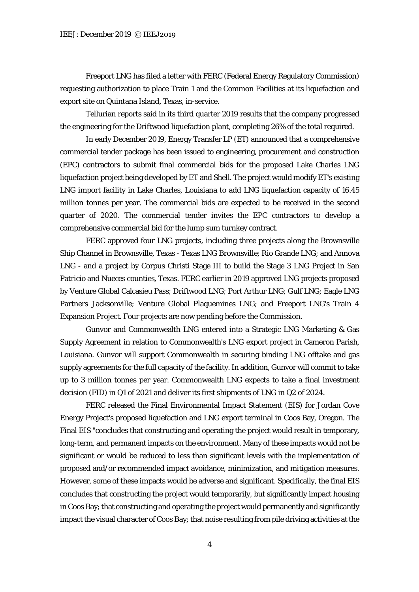Freeport LNG has filed a letter with FERC (Federal Energy Regulatory Commission) requesting authorization to place Train 1 and the Common Facilities at its liquefaction and export site on Quintana Island, Texas, in-service.

Tellurian reports said in its third quarter 2019 results that the company progressed the engineering for the Driftwood liquefaction plant, completing 26% of the total required.

In early December 2019, Energy Transfer LP (ET) announced that a comprehensive commercial tender package has been issued to engineering, procurement and construction (EPC) contractors to submit final commercial bids for the proposed Lake Charles LNG liquefaction project being developed by ET and Shell. The project would modify ET's existing LNG import facility in Lake Charles, Louisiana to add LNG liquefaction capacity of 16.45 million tonnes per year. The commercial bids are expected to be received in the second quarter of 2020. The commercial tender invites the EPC contractors to develop a comprehensive commercial bid for the lump sum turnkey contract.

FERC approved four LNG projects, including three projects along the Brownsville Ship Channel in Brownsville, Texas - Texas LNG Brownsville; Rio Grande LNG; and Annova LNG - and a project by Corpus Christi Stage III to build the Stage 3 LNG Project in San Patricio and Nueces counties, Texas. FERC earlier in 2019 approved LNG projects proposed by Venture Global Calcasieu Pass; Driftwood LNG; Port Arthur LNG; Gulf LNG; Eagle LNG Partners Jacksonville; Venture Global Plaquemines LNG; and Freeport LNG's Train 4 Expansion Project. Four projects are now pending before the Commission.

Gunvor and Commonwealth LNG entered into a Strategic LNG Marketing & Gas Supply Agreement in relation to Commonwealth's LNG export project in Cameron Parish, Louisiana. Gunvor will support Commonwealth in securing binding LNG offtake and gas supply agreements for the full capacity of the facility. In addition, Gunvor will commit to take up to 3 million tonnes per year. Commonwealth LNG expects to take a final investment decision (FID) in Q1 of 2021 and deliver its first shipments of LNG in Q2 of 2024.

FERC released the Final Environmental Impact Statement (EIS) for Jordan Cove Energy Project's proposed liquefaction and LNG export terminal in Coos Bay, Oregon. The Final EIS "concludes that constructing and operating the project would result in temporary, long-term, and permanent impacts on the environment. Many of these impacts would not be significant or would be reduced to less than significant levels with the implementation of proposed and/or recommended impact avoidance, minimization, and mitigation measures. However, some of these impacts would be adverse and significant. Specifically, the final EIS concludes that constructing the project would temporarily, but significantly impact housing in Coos Bay; that constructing and operating the project would permanently and significantly impact the visual character of Coos Bay; that noise resulting from pile driving activities at the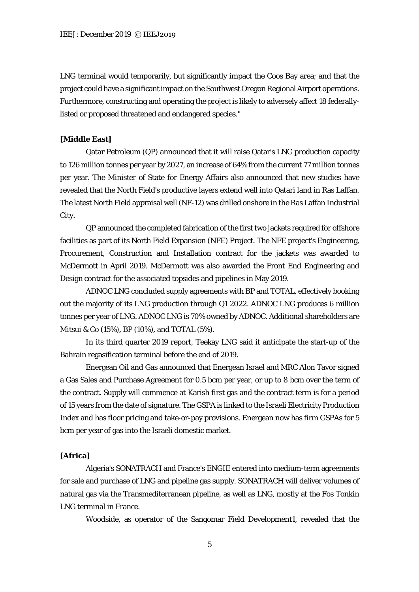LNG terminal would temporarily, but significantly impact the Coos Bay area; and that the project could have a significant impact on the Southwest Oregon Regional Airport operations. Furthermore, constructing and operating the project is likely to adversely affect 18 federallylisted or proposed threatened and endangered species."

### **[Middle East]**

Qatar Petroleum (QP) announced that it will raise Qatar's LNG production capacity to 126 million tonnes per year by 2027, an increase of 64% from the current 77 million tonnes per year. The Minister of State for Energy Affairs also announced that new studies have revealed that the North Field's productive layers extend well into Qatari land in Ras Laffan. The latest North Field appraisal well (NF-12) was drilled onshore in the Ras Laffan Industrial City.

QP announced the completed fabrication of the first two jackets required for offshore facilities as part of its North Field Expansion (NFE) Project. The NFE project's Engineering, Procurement, Construction and Installation contract for the jackets was awarded to McDermott in April 2019. McDermott was also awarded the Front End Engineering and Design contract for the associated topsides and pipelines in May 2019.

ADNOC LNG concluded supply agreements with BP and TOTAL, effectively booking out the majority of its LNG production through Q1 2022. ADNOC LNG produces 6 million tonnes per year of LNG. ADNOC LNG is 70% owned by ADNOC. Additional shareholders are Mitsui & Co (15%), BP (10%), and TOTAL (5%).

In its third quarter 2019 report, Teekay LNG said it anticipate the start-up of the Bahrain regasification terminal before the end of 2019.

Energean Oil and Gas announced that Energean Israel and MRC Alon Tavor signed a Gas Sales and Purchase Agreement for 0.5 bcm per year, or up to 8 bcm over the term of the contract. Supply will commence at Karish first gas and the contract term is for a period of 15 years from the date of signature. The GSPA is linked to the Israeli Electricity Production Index and has floor pricing and take-or-pay provisions. Energean now has firm GSPAs for 5 bcm per year of gas into the Israeli domestic market.

## **[Africa]**

Algeria's SONATRACH and France's ENGIE entered into medium-term agreements for sale and purchase of LNG and pipeline gas supply. SONATRACH will deliver volumes of natural gas via the Transmediterranean pipeline, as well as LNG, mostly at the Fos Tonkin LNG terminal in France.

Woodside, as operator of the Sangomar Field Development1, revealed that the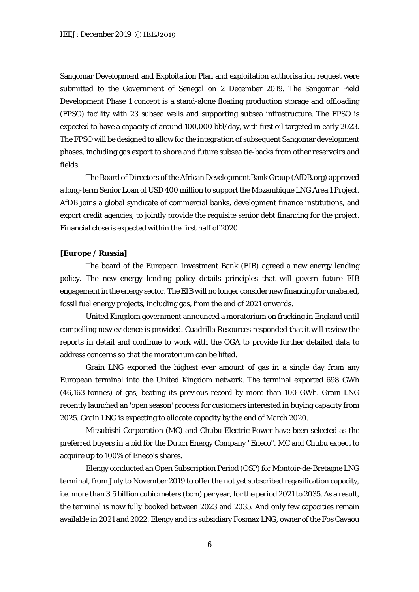Sangomar Development and Exploitation Plan and exploitation authorisation request were submitted to the Government of Senegal on 2 December 2019. The Sangomar Field Development Phase 1 concept is a stand-alone floating production storage and offloading (FPSO) facility with 23 subsea wells and supporting subsea infrastructure. The FPSO is expected to have a capacity of around 100,000 bbl/day, with first oil targeted in early 2023. The FPSO will be designed to allow for the integration of subsequent Sangomar development phases, including gas export to shore and future subsea tie-backs from other reservoirs and fields.

The Board of Directors of the African Development Bank Group (AfDB.org) approved a long-term Senior Loan of USD 400 million to support the Mozambique LNG Area 1 Project. AfDB joins a global syndicate of commercial banks, development finance institutions, and export credit agencies, to jointly provide the requisite senior debt financing for the project. Financial close is expected within the first half of 2020.

#### **[Europe / Russia]**

The board of the European Investment Bank (EIB) agreed a new energy lending policy. The new energy lending policy details principles that will govern future EIB engagement in the energy sector. The EIB will no longer consider new financing for unabated, fossil fuel energy projects, including gas, from the end of 2021 onwards.

United Kingdom government announced a moratorium on fracking in England until compelling new evidence is provided. Cuadrilla Resources responded that it will review the reports in detail and continue to work with the OGA to provide further detailed data to address concerns so that the moratorium can be lifted.

Grain LNG exported the highest ever amount of gas in a single day from any European terminal into the United Kingdom network. The terminal exported 698 GWh (46,163 tonnes) of gas, beating its previous record by more than 100 GWh. Grain LNG recently launched an 'open season' process for customers interested in buying capacity from 2025. Grain LNG is expecting to allocate capacity by the end of March 2020.

Mitsubishi Corporation (MC) and Chubu Electric Power have been selected as the preferred buyers in a bid for the Dutch Energy Company "Eneco". MC and Chubu expect to acquire up to 100% of Eneco's shares.

Elengy conducted an Open Subscription Period (OSP) for Montoir-de-Bretagne LNG terminal, from July to November 2019 to offer the not yet subscribed regasification capacity, i.e. more than 3.5 billion cubic meters (bcm) per year, for the period 2021 to 2035. As a result, the terminal is now fully booked between 2023 and 2035. And only few capacities remain available in 2021 and 2022. Elengy and its subsidiary Fosmax LNG, owner of the Fos Cavaou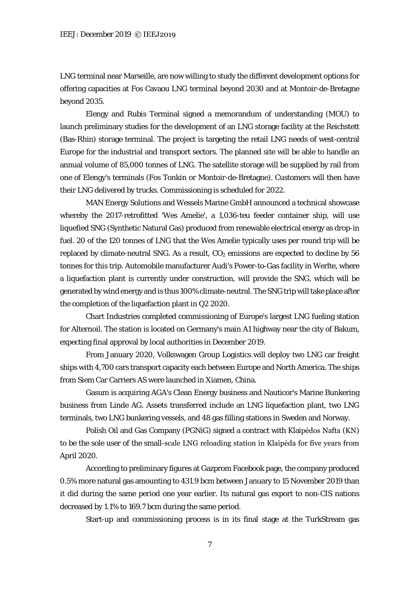LNG terminal near Marseille, are now willing to study the different development options for offering capacities at Fos Cavaou LNG terminal beyond 2030 and at Montoir-de-Bretagne beyond 2035.

Elengy and Rubis Terminal signed a memorandum of understanding (MOU) to launch preliminary studies for the development of an LNG storage facility at the Reichstett (Bas-Rhin) storage terminal. The project is targeting the retail LNG needs of west-central Europe for the industrial and transport sectors. The planned site will be able to handle an annual volume of 85,000 tonnes of LNG. The satellite storage will be supplied by rail from one of Elengy's terminals (Fos Tonkin or Montoir-de-Bretagne). Customers will then have their LNG delivered by trucks. Commissioning is scheduled for 2022.

MAN Energy Solutions and Wessels Marine GmbH announced a technical showcase whereby the 2017-retrofitted 'Wes Amelie', a 1,036-teu feeder container ship, will use liquefied SNG (Synthetic Natural Gas) produced from renewable electrical energy as drop-in fuel. 20 of the 120 tonnes of LNG that the Wes Amelie typically uses per round trip will be replaced by climate-neutral SNG. As a result,  $CO<sub>2</sub>$  emissions are expected to decline by 56 tonnes for this trip. Automobile manufacturer Audi's Power-to-Gas facility in Werlte, where a liquefaction plant is currently under construction, will provide the SNG, which will be generated by wind energy and is thus 100% climate-neutral. The SNG trip will take place after the completion of the liquefaction plant in Q2 2020.

Chart Industries completed commissioning of Europe's largest LNG fueling station for Alternoil. The station is located on Germany's main A1 highway near the city of Bakum, expecting final approval by local authorities in December 2019.

From January 2020, Volkswagen Group Logistics will deploy two LNG car freight ships with 4,700 cars transport capacity each between Europe and North America. The ships from Siem Car Carriers AS were launched in Xiamen, China.

Gasum is acquiring AGA's Clean Energy business and Nauticor's Marine Bunkering business from Linde AG. Assets transferred include an LNG liquefaction plant, two LNG terminals, two LNG bunkering vessels, and 48 gas filling stations in Sweden and Norway.

Polish Oil and Gas Company (PGNiG) signed a contract with Klaipėdos Nafta (KN) to be the sole user of the small-scale LNG reloading station in Klaipėda for five years from April 2020.

According to preliminary figures at Gazprom Facebook page, the company produced 0.5% more natural gas amounting to 431.9 bcm between January to 15 November 2019 than it did during the same period one year earlier. Its natural gas export to non-CIS nations decreased by 1.1% to 169.7 bcm during the same period.

Start-up and commissioning process is in its final stage at the TurkStream gas